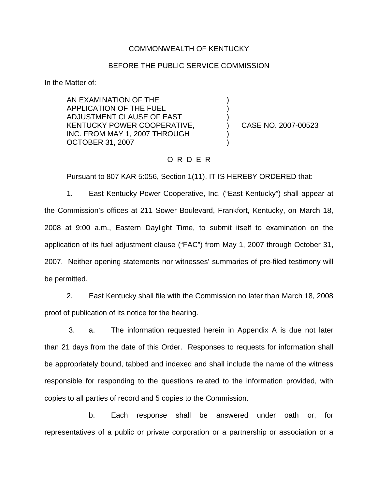## COMMONWEALTH OF KENTUCKY

## BEFORE THE PUBLIC SERVICE COMMISSION

) ) )

) )

In the Matter of:

AN EXAMINATION OF THE APPLICATION OF THE FUEL ADJUSTMENT CLAUSE OF EAST KENTUCKY POWER COOPERATIVE, INC. FROM MAY 1, 2007 THROUGH OCTOBER 31, 2007

) CASE NO. 2007-00523

# O R D E R

Pursuant to 807 KAR 5:056, Section 1(11), IT IS HEREBY ORDERED that:

1. East Kentucky Power Cooperative, Inc. ("East Kentucky") shall appear at the Commission's offices at 211 Sower Boulevard, Frankfort, Kentucky, on March 18, 2008 at 9:00 a.m., Eastern Daylight Time, to submit itself to examination on the application of its fuel adjustment clause ("FAC") from May 1, 2007 through October 31, 2007. Neither opening statements nor witnesses' summaries of pre-filed testimony will be permitted.

2. East Kentucky shall file with the Commission no later than March 18, 2008 proof of publication of its notice for the hearing.

3. a. The information requested herein in Appendix A is due not later than 21 days from the date of this Order. Responses to requests for information shall be appropriately bound, tabbed and indexed and shall include the name of the witness responsible for responding to the questions related to the information provided, with copies to all parties of record and 5 copies to the Commission.

b. Each response shall be answered under oath or, for representatives of a public or private corporation or a partnership or association or a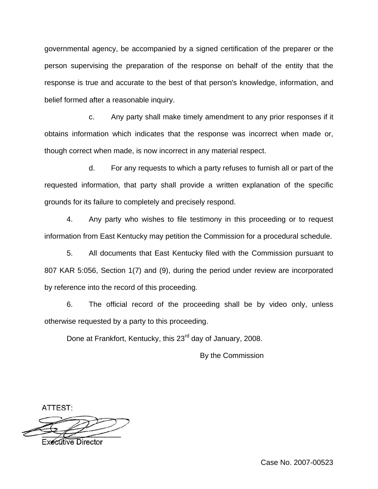governmental agency, be accompanied by a signed certification of the preparer or the person supervising the preparation of the response on behalf of the entity that the response is true and accurate to the best of that person's knowledge, information, and belief formed after a reasonable inquiry.

c. Any party shall make timely amendment to any prior responses if it obtains information which indicates that the response was incorrect when made or, though correct when made, is now incorrect in any material respect.

d. For any requests to which a party refuses to furnish all or part of the requested information, that party shall provide a written explanation of the specific grounds for its failure to completely and precisely respond.

4. Any party who wishes to file testimony in this proceeding or to request information from East Kentucky may petition the Commission for a procedural schedule.

5. All documents that East Kentucky filed with the Commission pursuant to 807 KAR 5:056, Section 1(7) and (9), during the period under review are incorporated by reference into the record of this proceeding.

6. The official record of the proceeding shall be by video only, unless otherwise requested by a party to this proceeding.

Done at Frankfort, Kentucky, this 23<sup>rd</sup> day of January, 2008.

By the Commission

ATTEST:



Case No. 2007-00523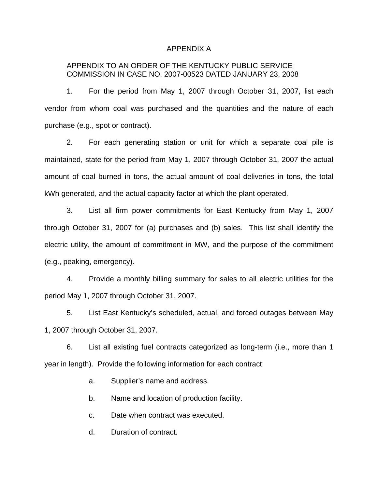#### APPENDIX A

# APPENDIX TO AN ORDER OF THE KENTUCKY PUBLIC SERVICE COMMISSION IN CASE NO. 2007-00523 DATED JANUARY 23, 2008

1. For the period from May 1, 2007 through October 31, 2007, list each vendor from whom coal was purchased and the quantities and the nature of each purchase (e.g., spot or contract).

2. For each generating station or unit for which a separate coal pile is maintained, state for the period from May 1, 2007 through October 31, 2007 the actual amount of coal burned in tons, the actual amount of coal deliveries in tons, the total kWh generated, and the actual capacity factor at which the plant operated.

3. List all firm power commitments for East Kentucky from May 1, 2007 through October 31, 2007 for (a) purchases and (b) sales. This list shall identify the electric utility, the amount of commitment in MW, and the purpose of the commitment (e.g., peaking, emergency).

4. Provide a monthly billing summary for sales to all electric utilities for the period May 1, 2007 through October 31, 2007.

5. List East Kentucky's scheduled, actual, and forced outages between May 1, 2007 through October 31, 2007.

6. List all existing fuel contracts categorized as long-term (i.e., more than 1 year in length). Provide the following information for each contract:

a. Supplier's name and address.

b. Name and location of production facility.

c. Date when contract was executed.

d. Duration of contract.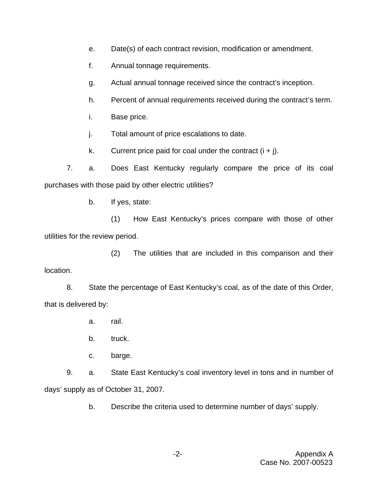- e. Date(s) of each contract revision, modification or amendment.
- f. Annual tonnage requirements.
- g. Actual annual tonnage received since the contract's inception.
- h. Percent of annual requirements received during the contract's term.
- i. Base price.
- j. Total amount of price escalations to date.
- k. Current price paid for coal under the contract  $(i + j)$ .

7. a. Does East Kentucky regularly compare the price of its coal purchases with those paid by other electric utilities?

b. If yes, state:

(1) How East Kentucky's prices compare with those of other utilities for the review period.

(2) The utilities that are included in this comparison and their location.

8. State the percentage of East Kentucky's coal, as of the date of this Order, that is delivered by:

- a. rail.
- b. truck.
- c. barge.

9. a. State East Kentucky's coal inventory level in tons and in number of days' supply as of October 31, 2007.

b. Describe the criteria used to determine number of days' supply.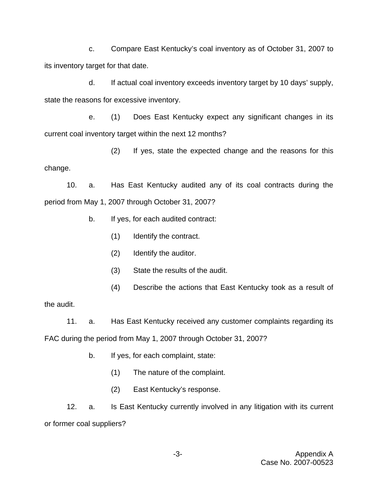c. Compare East Kentucky's coal inventory as of October 31, 2007 to its inventory target for that date.

d. If actual coal inventory exceeds inventory target by 10 days' supply, state the reasons for excessive inventory.

e. (1) Does East Kentucky expect any significant changes in its current coal inventory target within the next 12 months?

(2) If yes, state the expected change and the reasons for this change.

10. a. Has East Kentucky audited any of its coal contracts during the period from May 1, 2007 through October 31, 2007?

- b. If yes, for each audited contract:
	- (1) Identify the contract.
	- (2) Identify the auditor.
	- (3) State the results of the audit.
	- (4) Describe the actions that East Kentucky took as a result of

the audit.

11. a. Has East Kentucky received any customer complaints regarding its FAC during the period from May 1, 2007 through October 31, 2007?

- b. If yes, for each complaint, state:
	- (1) The nature of the complaint.
	- (2) East Kentucky's response.

12. a. Is East Kentucky currently involved in any litigation with its current or former coal suppliers?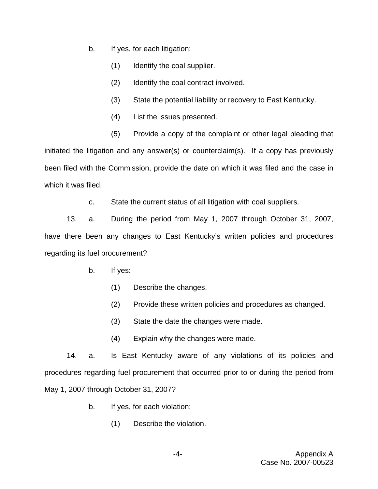- b. If yes, for each litigation:
	- (1) Identify the coal supplier.
	- (2) Identify the coal contract involved.
	- (3) State the potential liability or recovery to East Kentucky.
	- (4) List the issues presented.
	- (5) Provide a copy of the complaint or other legal pleading that

initiated the litigation and any answer(s) or counterclaim(s). If a copy has previously been filed with the Commission, provide the date on which it was filed and the case in which it was filed.

c. State the current status of all litigation with coal suppliers.

13. a. During the period from May 1, 2007 through October 31, 2007, have there been any changes to East Kentucky's written policies and procedures regarding its fuel procurement?

- b. If yes:
	- (1) Describe the changes.
	- (2) Provide these written policies and procedures as changed.
	- (3) State the date the changes were made.
	- (4) Explain why the changes were made.

14. a. Is East Kentucky aware of any violations of its policies and procedures regarding fuel procurement that occurred prior to or during the period from May 1, 2007 through October 31, 2007?

- b. If yes, for each violation:
	- (1) Describe the violation.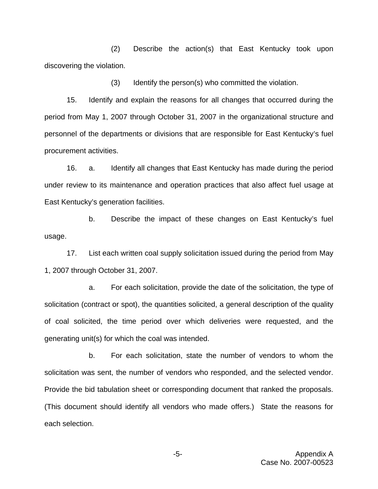(2) Describe the action(s) that East Kentucky took upon discovering the violation.

(3) Identify the person(s) who committed the violation.

15. Identify and explain the reasons for all changes that occurred during the period from May 1, 2007 through October 31, 2007 in the organizational structure and personnel of the departments or divisions that are responsible for East Kentucky's fuel procurement activities.

16. a. Identify all changes that East Kentucky has made during the period under review to its maintenance and operation practices that also affect fuel usage at East Kentucky's generation facilities.

b. Describe the impact of these changes on East Kentucky's fuel usage.

17. List each written coal supply solicitation issued during the period from May 1, 2007 through October 31, 2007.

a. For each solicitation, provide the date of the solicitation, the type of solicitation (contract or spot), the quantities solicited, a general description of the quality of coal solicited, the time period over which deliveries were requested, and the generating unit(s) for which the coal was intended.

b. For each solicitation, state the number of vendors to whom the solicitation was sent, the number of vendors who responded, and the selected vendor. Provide the bid tabulation sheet or corresponding document that ranked the proposals. (This document should identify all vendors who made offers.) State the reasons for each selection.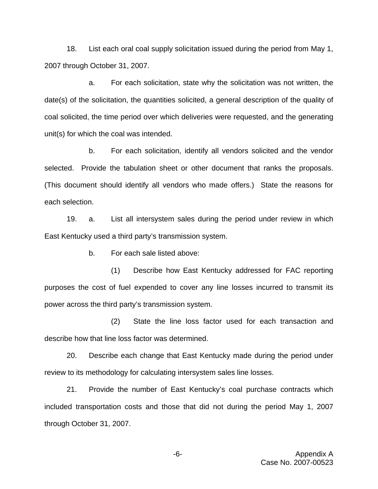18. List each oral coal supply solicitation issued during the period from May 1, 2007 through October 31, 2007.

a. For each solicitation, state why the solicitation was not written, the date(s) of the solicitation, the quantities solicited, a general description of the quality of coal solicited, the time period over which deliveries were requested, and the generating unit(s) for which the coal was intended.

b. For each solicitation, identify all vendors solicited and the vendor selected. Provide the tabulation sheet or other document that ranks the proposals. (This document should identify all vendors who made offers.) State the reasons for each selection.

19. a. List all intersystem sales during the period under review in which East Kentucky used a third party's transmission system.

b. For each sale listed above:

(1) Describe how East Kentucky addressed for FAC reporting purposes the cost of fuel expended to cover any line losses incurred to transmit its power across the third party's transmission system.

(2) State the line loss factor used for each transaction and describe how that line loss factor was determined.

20. Describe each change that East Kentucky made during the period under review to its methodology for calculating intersystem sales line losses.

21. Provide the number of East Kentucky's coal purchase contracts which included transportation costs and those that did not during the period May 1, 2007 through October 31, 2007.